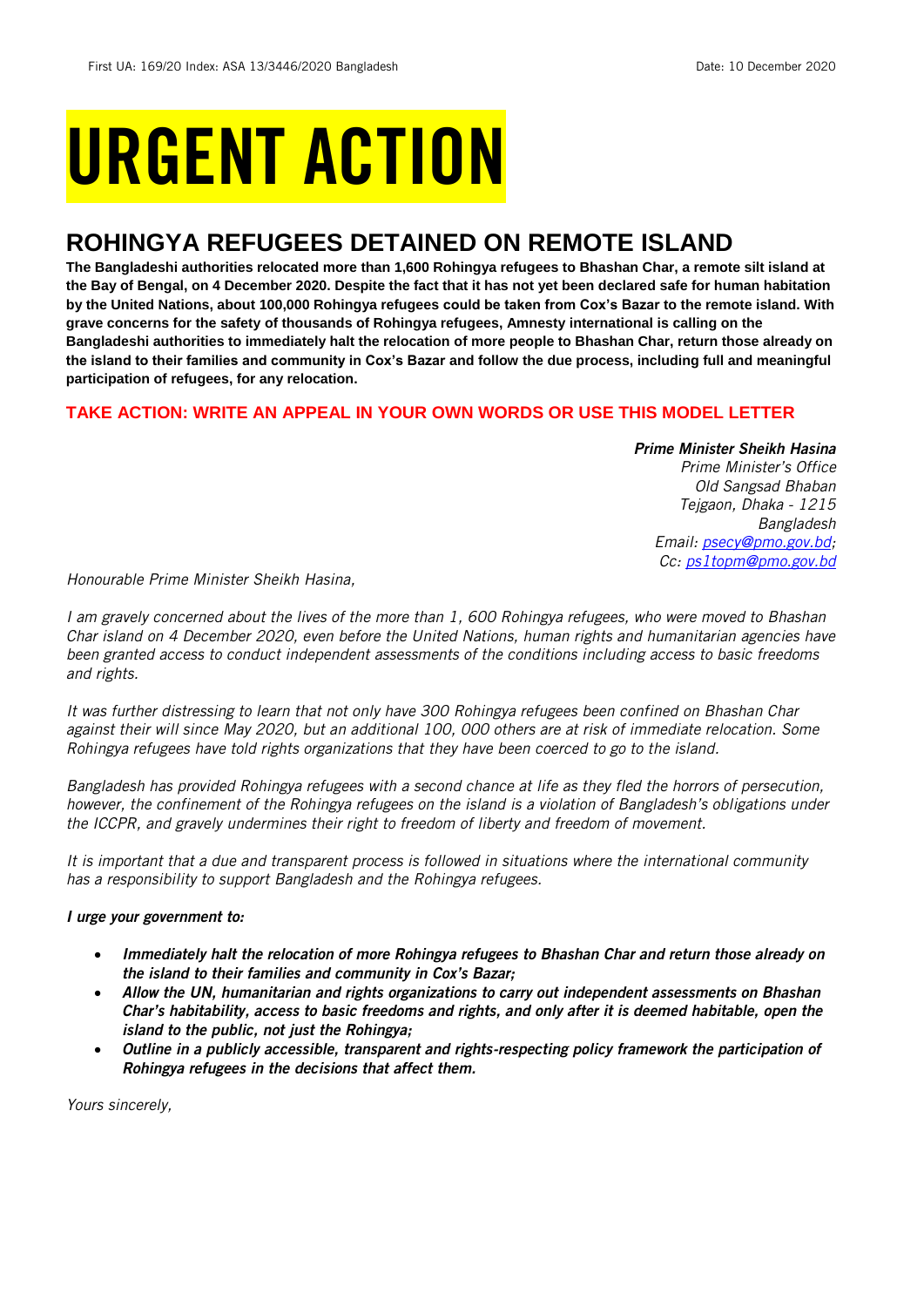# URGENT ACTION

## **ROHINGYA REFUGEES DETAINED ON REMOTE ISLAND**

**The Bangladeshi authorities relocated more than 1,600 Rohingya refugees to Bhashan Char, a remote silt island at the Bay of Bengal, on 4 December 2020. Despite the fact that it has not yet been declared safe for human habitation by the United Nations, about 100,000 Rohingya refugees could be taken from Cox's Bazar to the remote island. With grave concerns for the safety of thousands of Rohingya refugees, Amnesty international is calling on the Bangladeshi authorities to immediately halt the relocation of more people to Bhashan Char, return those already on the island to their families and community in Cox's Bazar and follow the due process, including full and meaningful participation of refugees, for any relocation.**

#### **TAKE ACTION: WRITE AN APPEAL IN YOUR OWN WORDS OR USE THIS MODEL LETTER**

#### *Prime Minister Sheikh Hasina*

*Prime Minister's Office Old Sangsad Bhaban Tejgaon, Dhaka - 1215 Bangladesh Email: [psecy@pmo.gov.bd;](mailto:psecy@pmo.gov.bd) Cc: [ps1topm@pmo.gov.bd](mailto:ps1topm@pmo.gov.bd)*

*Honourable Prime Minister Sheikh Hasina,*

*I am gravely concerned about the lives of the more than 1, 600 Rohingya refugees, who were moved to Bhashan Char island on 4 December 2020, even before the United Nations, human rights and humanitarian agencies have been granted access to conduct independent assessments of the conditions including access to basic freedoms and rights.*

*It was further distressing to learn that not only have 300 Rohingya refugees been confined on Bhashan Char against their will since May 2020, but an additional 100, 000 others are at risk of immediate relocation. Some Rohingya refugees have told rights organizations that they have been coerced to go to the island.*

*Bangladesh has provided Rohingya refugees with a second chance at life as they fled the horrors of persecution, however, the confinement of the Rohingya refugees on the island is a violation of Bangladesh's obligations under the ICCPR, and gravely undermines their right to freedom of liberty and freedom of movement.* 

*It is important that a due and transparent process is followed in situations where the international community has a responsibility to support Bangladesh and the Rohingya refugees.*

#### *I urge your government to:*

- *Immediately halt the relocation of more Rohingya refugees to Bhashan Char and return those already on the island to their families and community in Cox's Bazar;*
- *Allow the UN, humanitarian and rights organizations to carry out independent assessments on Bhashan Char's habitability, access to basic freedoms and rights, and only after it is deemed habitable, open the island to the public, not just the Rohingya;*
- *Outline in a publicly accessible, transparent and rights-respecting policy framework the participation of Rohingya refugees in the decisions that affect them.*

*Yours sincerely,*